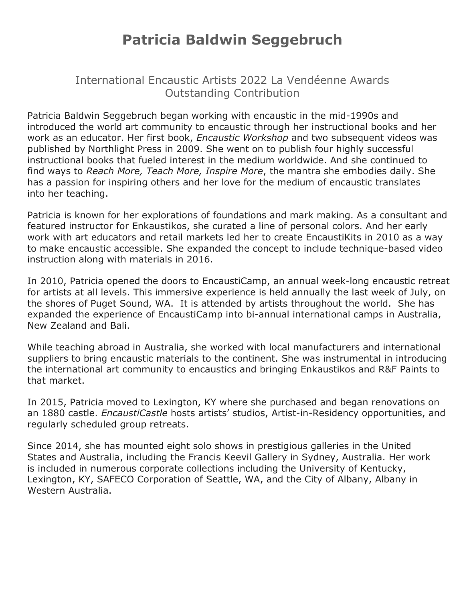## **Patricia Baldwin Seggebruch**

International Encaustic Artists 2022 La Vendéenne Awards Outstanding Contribution

Patricia Baldwin Seggebruch began working with encaustic in the mid-1990s and introduced the world art community to encaustic through her instructional books and her work as an educator. Her first book, *Encaustic Workshop* and two subsequent videos was published by Northlight Press in 2009. She went on to publish four highly successful instructional books that fueled interest in the medium worldwide. And she continued to find ways to *Reach More, Teach More, Inspire More*, the mantra she embodies daily. She has a passion for inspiring others and her love for the medium of encaustic translates into her teaching.

Patricia is known for her explorations of foundations and mark making. As a consultant and featured instructor for Enkaustikos, she curated a line of personal colors. And her early work with art educators and retail markets led her to create EncaustiKits in 2010 as a way to make encaustic accessible. She expanded the concept to include technique-based video instruction along with materials in 2016.

In 2010, Patricia opened the doors to EncaustiCamp, an annual week-long encaustic retreat for artists at all levels. This immersive experience is held annually the last week of July, on the shores of Puget Sound, WA. It is attended by artists throughout the world. She has expanded the experience of EncaustiCamp into bi-annual international camps in Australia, New Zealand and Bali.

While teaching abroad in Australia, she worked with local manufacturers and international suppliers to bring encaustic materials to the continent. She was instrumental in introducing the international art community to encaustics and bringing Enkaustikos and R&F Paints to that market.

In 2015, Patricia moved to Lexington, KY where she purchased and began renovations on an 1880 castle. *EncaustiCastle* hosts artists' studios, Artist-in-Residency opportunities, and regularly scheduled group retreats.

Since 2014, she has mounted eight solo shows in prestigious galleries in the United States and Australia, including the Francis Keevil Gallery in Sydney, Australia. Her work is included in numerous corporate collections including the University of Kentucky, Lexington, KY, SAFECO Corporation of Seattle, WA, and the City of Albany, Albany in Western Australia.